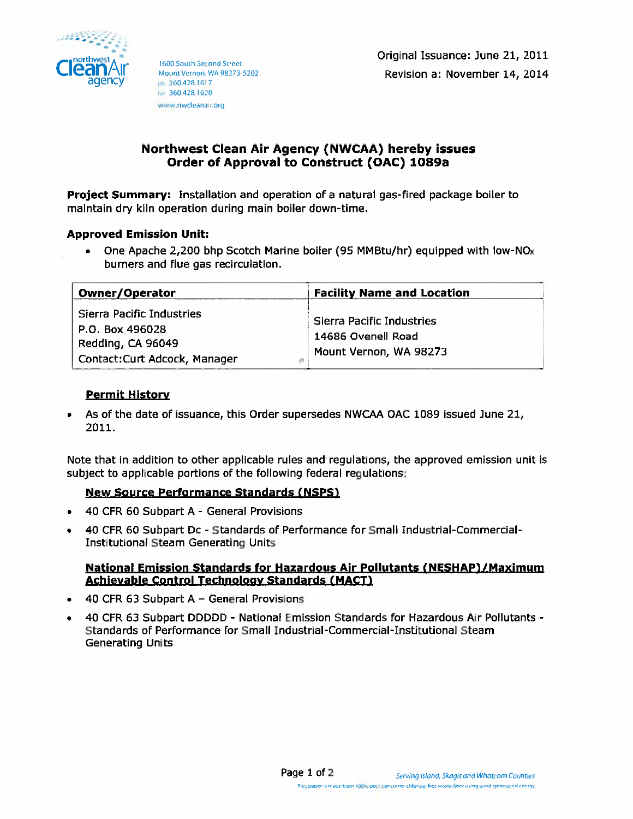

1600 South Second Street Mount Vernon, WA 98273-5202 mh 360,428 1617 fax 360.428.1620 www.nwcleanair.org

# Northwest Clean Air Agency (NWCAA) hereby issues Order of Approval to Construct (OAC) 1089a

Project Summary: Installation and operation of a natural gas-fired package boiler to maintain dry kiln operation during main boiler down-time.

## **Approved Emission Unit:**

• One Apache 2,200 bhp Scotch Marine boiler (95 MMBtu/hr) equipped with low-NO<sub>x</sub> burners and flue gas recirculation.

| Owner/Operator                                                                                           | <b>Facility Name and Location</b>                                         |
|----------------------------------------------------------------------------------------------------------|---------------------------------------------------------------------------|
| Sierra Pacific Industries<br>  P.O. Box 496028<br>Redding, CA 96049<br>Contact:Curt Adcock, Manager<br>础 | Sierra Pacific Industries<br>14686 Ovenell Road<br>Mount Vernon, WA 98273 |

## **Permit History**

As of the date of issuance, this Order supersedes NWCAA OAC 1089 issued June 21, 2011.

Note that in addition to other applicable rules and regulations, the approved emission unit is subject to applicable portions of the following federal regulations:

## **New Source Performance Standards (NSPS)**

- 40 CFR 60 Subpart A General Provisions  $\bullet$
- 40 CFR 60 Subpart Dc Standards of Performance for Small Industrial-Commercial- $\bullet$ **Institutional Steam Generating Units:**

## National Emission Standards for Hazardous Air Pollutants (NESHAP)/Maximum **Achievable Control Technology Standards (MACT)**

- 40 CFR 63 Subpart A General Provisions
- 40 CFR 63 Subpart DDDDD National Emission Standards for Hazardous Air Pollutants - $\bullet$ Standards of Performance for Small Industrial-Commercial-Institutional Steam **Generating Units**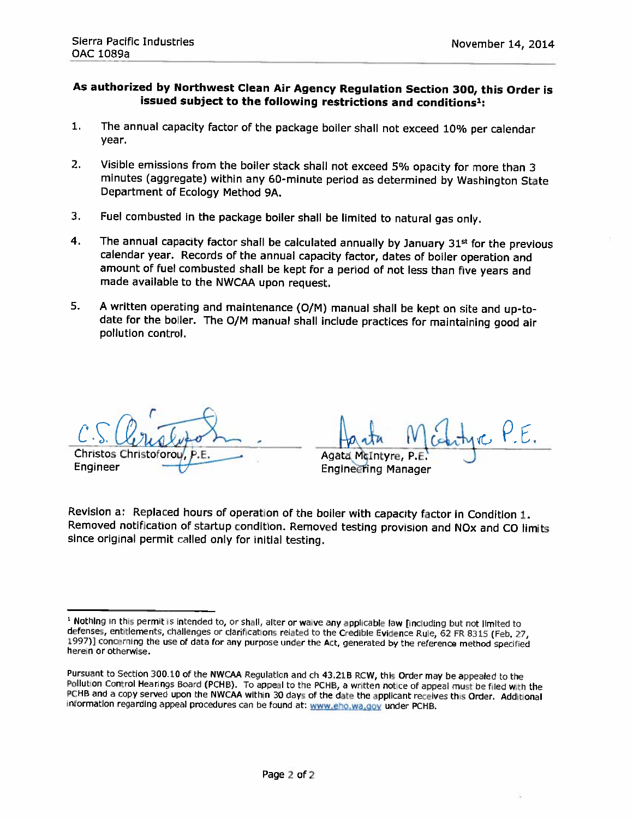## As authorized by Northwest Clean Air Agency Regulation Section 300, this Order is issued subject to the following restrictions and conditions<sup>1</sup>:

- $\mathbf{1}$ The annual capacity factor of the package boiler shall not exceed 10% per calendar vear.
- $2<sub>1</sub>$ Visible emissions from the boiler stack shall not exceed 5% opacity for more than 3 minutes (aggregate) within any 60-minute period as determined by Washington State Department of Ecology Method 9A.
- 3. Fuel combusted in the package boiler shall be limited to natural gas only.
- $\overline{4}$ . The annual capacity factor shall be calculated annually by January 31st for the previous calendar year. Records of the annual capacity factor, dates of boiler operation and amount of fuel combusted shall be kept for a period of not less than five years and made available to the NWCAA upon request.
- 5. A written operating and maintenance (O/M) manual shall be kept on site and up-todate for the boiler. The O/M manual shall include practices for maintaining good air pollution control.

**Christos Christoforou** Engineer

Agata McIntyre

**Engineering Manager** 

Revision a: Replaced hours of operation of the boiler with capacity factor in Condition 1. Removed notification of startup condition. Removed testing provision and NOx and CO limits since original permit called only for initial testing.

<sup>&</sup>lt;sup>1</sup> Nothing in this permit is intended to, or shall, alter or waive any applicable law [including but not limited to defenses, entitlements, challenges or clarifications related to the Credible Evidence Rule, 62 FR 8315 (Feb. 27, 1997)] concerning the use of data for any purpose under the Act, generated by the reference method specified herein or otherwise.

Pursuant to Section 300.10 of the NWCAA Regulation and ch 43.21B RCW, this Order may be appealed to the Pollution Control Hearings Board (PCHB). To appeal to the PCHB, a written notice of appeal must be filed with the PCHB and a copy served upon the NWCAA within 30 days of the date the applicant receives this Order. Additional information regarding appeal procedures can be found at: www.eho.wa.gov under PCHB.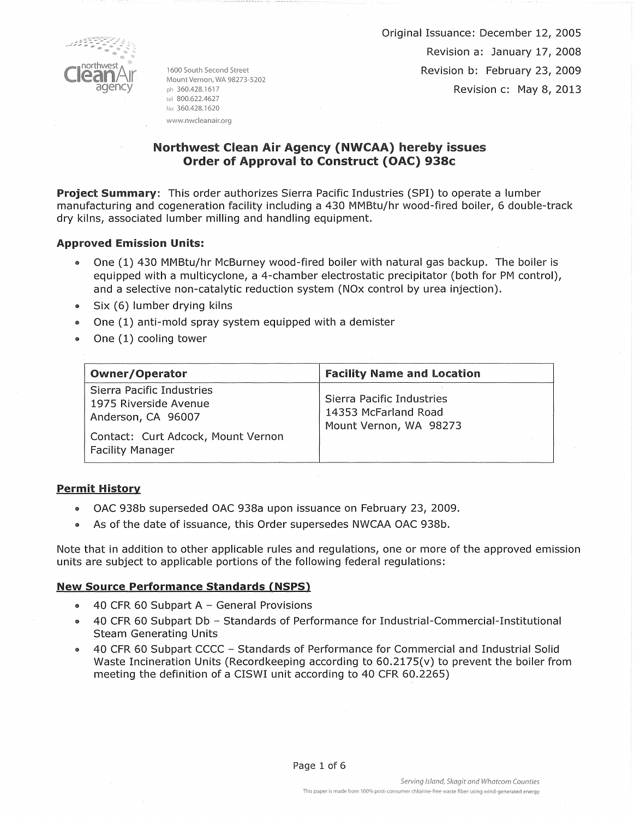

1600 South Second Street Mount Vernon, WA 98273-5202 ph 360.428.1617 tel 800.622.4627 fax 360.428.1620 www.nwcleanair.org

Original Issuance: December 12, 2005 Revision a: January 17, 2008 Revision b: February 23, 2009 Revision c: May 8, 2013

# Northwest Clean Air Agency (NWCAA) hereby issues Order of Approval to Construct (OAC) 938c

Project Summary: This order authorizes Sierra Pacific Industries (SPI) to operate a lumber manufacturing and cogeneration facility including a 430 MMBtu/hr wood-fired boiler, 6 double-track dry kilns, associated lumber milling and handling equipment.

## Approved Emission Units:

- @ One (1) 430 MMBtu/hr McBurney wood-fired boiler with natural gas backup. The boiler is equipped with a multicyclone, a 4-chamber electrostatic precipitator (both for PM control), and a selective non-catalytic reduction system (NOx control by urea injection).
- $\bullet$  Six (6) lumber drying kilns
- $\bullet$  One (1) anti-mold spray system equipped with a demister
- One  $(1)$  cooling tower

| Owner/Operator                                                                                                                            | <b>Facility Name and Location</b>                                           |
|-------------------------------------------------------------------------------------------------------------------------------------------|-----------------------------------------------------------------------------|
| Sierra Pacific Industries<br>1975 Riverside Avenue<br>Anderson, CA 96007<br>Contact: Curt Adcock, Mount Vernon<br><b>Facility Manager</b> | Sierra Pacific Industries<br>14353 McFarland Road<br>Mount Vernon, WA 98273 |

### Permit History

- ., OAC 938b superseded OAC 938a upon issuance on February 23, 2009.
- .. As of the date of issuance, this Order supersedes NWCAA OAC 938b.

Note that in addition to other applicable rules and regulations, one or more of the approved emission units are subject to applicable portions of the following federal regulations:

### New Source Performance Standards {NSPS)

- 40 CFR 60 Subpart A  $-$  General Provisions
- 40 CFR 60 Subpart Db Standards of Performance for Industrial-Commercial-Institutional Steam Generating Units
- 40 CFR 60 Subpart CCCC Standards of Performance for Commercial and Industrial Solid Waste Incineration Units (Recordkeeping according to  $60.2175(v)$  to prevent the boiler from meeting the definition of a CISWI unit according to 40 CFR 60.2265)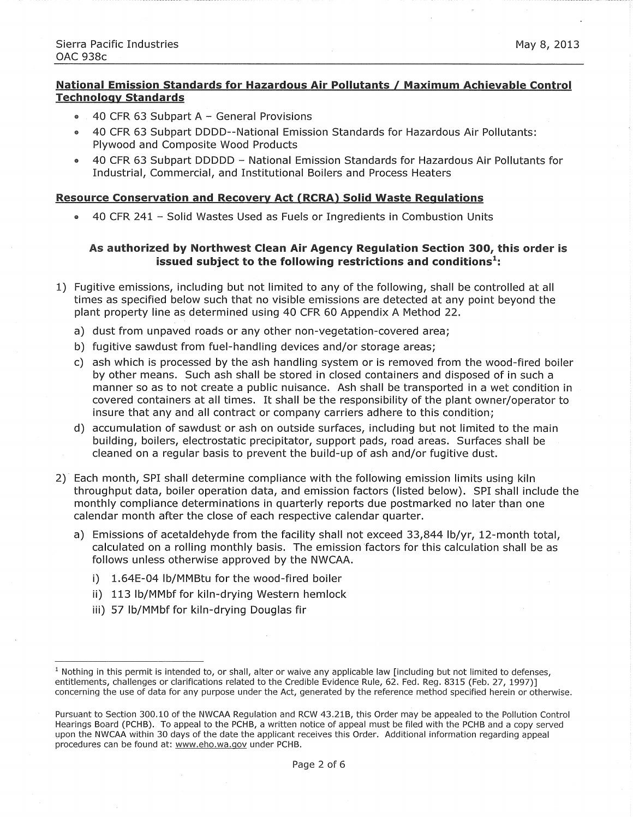## **National Emission Standards for Hazardous Air Pollutants I Maximum Achievable Control Technology Standards**

- $\bullet$  40 CFR 63 Subpart A General Provisions
- 40 CFR 63 Subpart DODD--National Emission Standards for Hazardous Air Pollutants: Plywood and Composite Wood Products
- 40 CFR 63 Subpart DDDDD National Emission Standards for Hazardous Air Pollutants for Industrial, Commercial, and Institutional Boilers and Process Heaters

### **Resource Conservation and Recovery Act (RCRA) Solid Waste Regulations**

• 40 CFR 241 -Solid Wastes Used as Fuels or Ingredients in Combustion Units

### **As authorized by Northwest Clean Air Agency Regulation Section 300, this order is issued subject to the following restrictions and conditions<sup>1</sup>:**

- 1) Fugitive emissions, including but not limited to any of the following, shall be controlled at all times as specified below such that no visible emissions are detected at any point beyond the plant property line as determined using 40 CFR 60 Appendix A Method 22.
	- a) dust from unpaved roads or any other non-vegetation-covered area;
	- b) fugitive sawdust from fuel-handling devices and/or storage areas;
	- c) ash which is processed by the ash handling system or is removed from the wood-fired boiler by other means. Such ash shall be stored in closed containers and disposed of in such a manner so as to not create a public nuisance. Ash shall be transported in a wet condition in covered containers at all times. It shall be the responsibility of the plant owner/operator to insure that any and all contract or company carriers adhere to this condition;
	- d) accumulation of sawdust or ash on outside surfaces, including but not limited to the main building, boilers, electrostatic precipitator, support pads, road areas. Surfaces shall be cleaned on a regular basis to prevent the build-up of ash and/or fugitive dust.
- 2) Each month, SPI shall determine compliance with the following emission limits using kiln throughput data, boiler operation data, and emission factors (listed below). SPI shall include the monthly compliance determinations in quarterly reports due postmarked no later than one calendar month after the close of each respective calendar quarter.
	- a) Emissions of acetaldehyde from the facility shall not exceed 33,844 lb/yr, 12-month total, calculated on a rolling monthly basis. The emission factors for this calculation shall be as follows unless otherwise approved by the NWCAA.
		- i) 1.64E-04 lb/MMBtu for the wood-fired boiler
		- ii) 113 lb/MMbf for kiln-drying Western hemlock
		- iii) 57 lb/MMbf for kiln-drying Douglas fir

 $<sup>1</sup>$  Nothing in this permit is intended to, or shall, alter or waive any applicable law [including but not limited to defenses,</sup> entitlements, challenges or clarifications related to the Credible Evidence Rule, 62. Fed. Reg. 8315 (Feb. 27, 1997)] concerning the use of data for any purpose under the Act, generated by the reference method specified herein or otherwise.

Pursuant to Section 300.10 of the NWCAA Regulation and RCW 43.21B, this Order may be appealed to the Pollution Control Hearings Board (PCHB). To appeal to the PCHB, a written notice of appeal must be filed with the PCHB and a copy served upon the NWCAA within 30 days of the date the applicant receives this Order. Additional information regarding appeal procedures can be found at: www.eho.wa.gov under PCHB.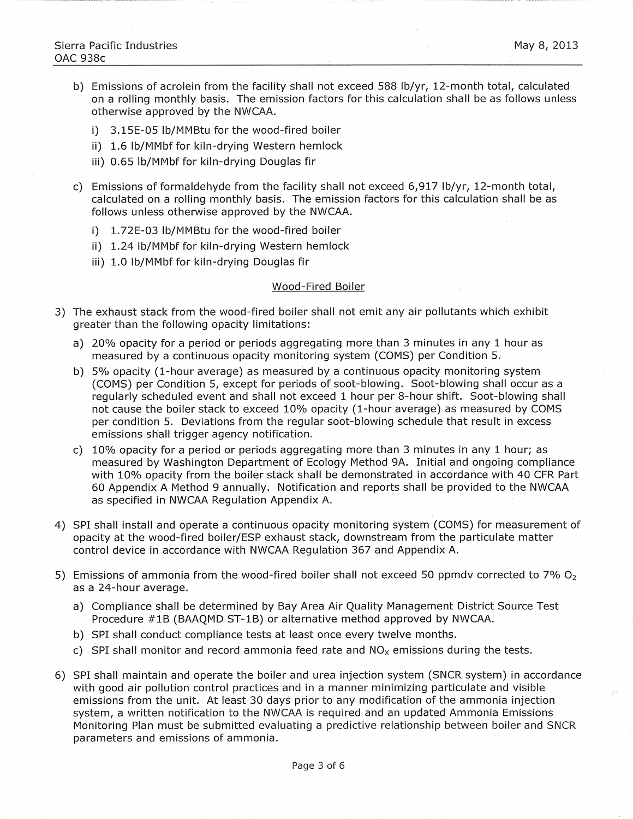- b) Emissions of acrolein from the facility shall not exceed 588 lb/yr, 12-month total, calculated on a rolling monthly basis. The emission factors for this calculation shall be as follows unless otherwise approved by the NWCAA.
	- i) 3.15E-05 lb/MMBtu for the wood-fired boiler
	- ii) 1.6 lb/MMbf for kiln-drying Western hemlock
	- iii) 0.65 lb/MMbf for kiln-drying Douglas fir
- c) Emissions of formaldehyde from the facility shall not exceed 6,917 lb/yr, 12-month total, calculated on a rolling monthly basis. The emission factors for this calculation shall be as follows unless otherwise approved by the NWCAA.
	- i) 1. 72E-03 lb/MMBtu for the wood-fired boiler
	- ii) 1.24 lb/MMbf for kiln-drying Western hemlock
	- iii) 1.0 lb/MMbf for kiln-drying Douglas fir

#### Wood-Fired Boiler

- 3) The exhaust stack from the wood-fired boiler shall not emit any air pollutants which exhibit greater than the following opacity limitations:
	- a) 20% opacity for a period or periods aggregating more than 3 minutes in any 1 hour as measured by a continuous opacity monitoring system (COMS) per Condition 5.
	- b) 5% opacity (1-hour average) as measured by a continuous opacity monitoring system (COMS) per Condition 5, except for periods of soot-blowing. Soot-blowing shall occur as a regularly scheduled event and shall not exceed 1 hour per 8-hour shift. Soot-blowing shall not cause the boiler stack to exceed 10% opacity (1-hour average) as measured by COMS per condition 5. Deviations from the regular soot-blowing schedule that result in excess emissions shall trigger agency notification.
	- c) 10% opacity for a period or periods aggregating more than 3 minutes in any 1 hour; as measured by Washington Department of Ecology Method 9A. Initial and ongoing compliance with 10% opacity from the boiler stack shall be demonstrated in accordance with 40 CFR Part 60 Appendix A Method 9 annually. Notification and reports shall be provided to the NWCAA as specified in NWCAA Regulation Appendix A.
- 4) SPI shall install and operate a continuous opacity monitoring system (COMS) for measurement of opacity at the wood-fired boiler/ESP exhaust stack, downstream from the particulate matter control device in accordance with NWCAA Regulation 367 and Appendix A.
- 5) Emissions of ammonia from the wood-fired boiler shall not exceed 50 ppmdv corrected to 7%  $O<sub>2</sub>$ as a 24-hour average.
	- a) Compliance shall be determined by Bay Area Air Quality Management District Source Test Procedure #1B (BAAQMD ST-1B) or alternative method approved by NWCAA.
	- b) SPI shall conduct compliance tests at least once every twelve months.
	- c) SPI shall monitor and record ammonia feed rate and  $NO<sub>x</sub>$  emissions during the tests.
- 6) SPI shall maintain and operate the boiler and urea injection system (SNCR system) in accordance with good air pollution control practices and in a manner minimizing particulate and visible emissions from the unit. At least 30 days prior to any modification of the ammonia injection system, a written notification to the NWCAA is required and an updated Ammonia Emissions Monitoring Plan must be submitted evaluating a predictive relationship between boiler and SNCR parameters and emissions of ammonia.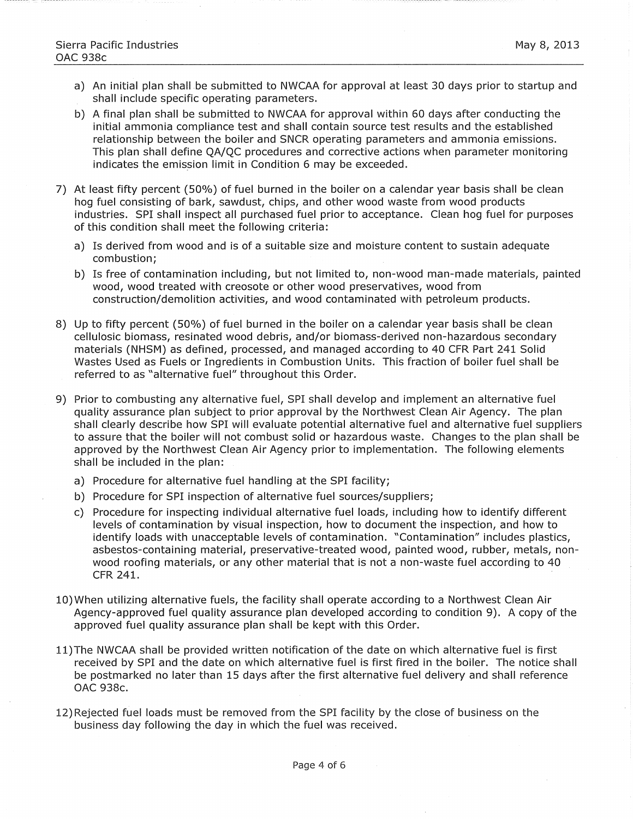- a) An initial plan shall be submitted to NWCAA for approval at least 30 days prior to startup and shall include specific operating parameters.
- b) A final plan shall be submitted to NWCAA for approval within 60 days after conducting the initial ammonia compliance test and shall contain source test results and the established relationship between the boiler and SNCR operating parameters and ammonia emissions. This plan shall define QA/QC procedures and corrective actions when parameter monitoring indicates the emission limit in Condition 6 may be exceeded.
- 7) At least fifty percent (50%) of fuel burned in the boiler on a calendar year basis shall be clean hog fuel consisting of bark, sawdust, chips, and other wood waste from wood products industries. SPI shall inspect all purchased fuel prior to acceptance. Clean hog fuel for purposes of this condition shall meet the following criteria:
	- a) Is derived from wood and is of a suitable size and moisture content to sustain adequate combustion;
	- b) Is free of contamination including, but not limited to, non-wood man-made materials, painted wood, wood treated with creosote or other wood preservatives, wood from construction/demolition activities, and wood contaminated with petroleum products.
- 8) Up to fifty percent (50%) of fuel burned in the boiler on a calendar year basis shall be clean cellulosic biomass, resinated wood debris, and/or biomass-derived non-hazardous secondary materials (NHSM) as defined, processed, and managed according to 40 CFR Part 241 Solid Wastes Used as Fuels or Ingredients in Combustion Units. This fraction of boiler fuel shall be referred to as "alternative fuel" throughout this Order.
- 9) Prior to combusting any alternative fuel, SPI shall develop and implement an alternative fuel quality assurance plan subject to prior approval by the Northwest Clean Air Agency. The plan shall clearly describe how SPI will evaluate potential alternative fuel and alternative fuel suppliers to assure that the boiler will not combust solid or hazardous waste. Changes to the plan shall be approved by the Northwest Clean Air Agency prior to implementation. The following elements shall be included in the plan:
	- a) Procedure for alternative fuel handling at the SPI facility;
	- b) Procedure for SPI inspection of alternative fuel sources/suppliers;
	- c) Procedure for inspecting individual alternative fuel loads, including how to identify different levels of contamination by visual inspection, how to document the inspection, and how to identify loads with unacceptable levels of contamination. "Contamination" includes plastics, asbestos-containing material, preservative-treated wood, painted wood, rubber, metals, nonwood roofing materials, or any other material that is not a non-waste fuel according to 40 CFR 241.
- 10)When utilizing alternative fuels, the facility shall operate according to a Northwest Clean Air Agency-approved fuel quality assurance plan developed according to condition 9). A copy of the approved fuel quality assurance plan shall be kept with this Order.
- ll)The NWCAA shall be provided writteh notification of the date on which alternative fuel is first received by SPI and the date on which alternative fuel is first fired in the boiler. The notice shall be postmarked no later than 15 days after the first alternative fuel delivery and shall reference OAC 938c.
- 12) Rejected fuel loads must be removed from the SPI facility by the close of business on the business day following the day in which the fuel was received.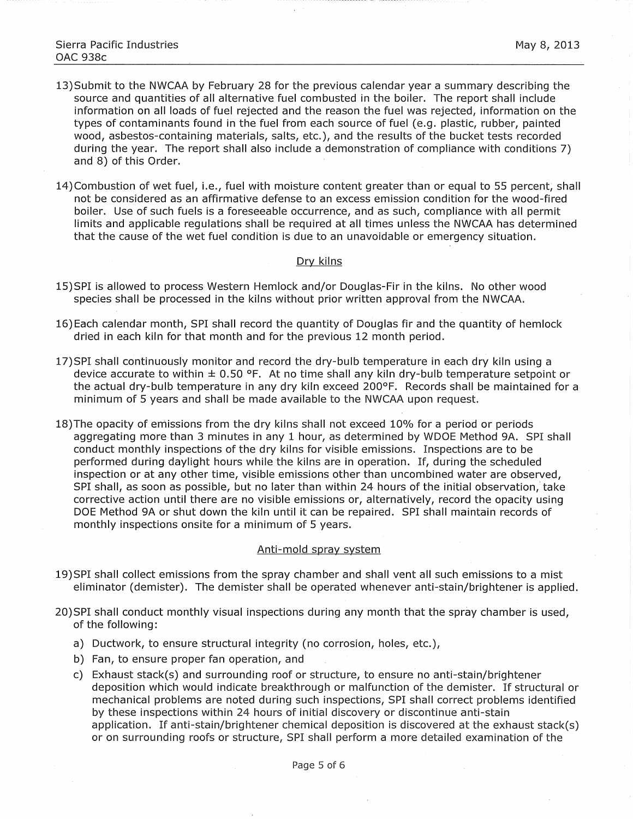- 13)Submit to the NWCAA by February 28 for the previous calendar year a summary describing the source and quantities of all alternative fuel combusted in the boiler. The report shall include information on all loads of fuel rejected and the reason the fuel was rejected, information on the types of contaminants found in the fuel from each source of fuel (e.g. plastic, rubber, painted wood, asbestos-containing materials, salts, etc.), and the results of the bucket tests recorded during the year. The report shall also include a demonstration of compliance with conditions 7) and 8) of this Order.
- 14)Combustion of wet fuel, i.e., fuel with moisture content greater than or equal to 55 percent, shall not be considered as an affirmative defense to an excess emission condition for the wood-fired boiler. Use of such fuels is a foreseeable occurrence, and as such, compliance with all permit limits and applicable regulations shall be reguired at all times unless the NWCAA has determined that the cause of the wet fuel condition is due to an unavoidable or emergency situation.

### Dry kilns

- 15)SPI is allowed to process Western Hemlock and/or Douglas-Fir in the kilns. No other wood species shall be processed in the kilns without prior written approval from the NWCAA.
- 16)Each calendar month, SPI shall record the quantity of Douglas fir and the quantity of hemlock dried in each kiln for that month and for the previous 12 month period.
- 17)SPI shall continuously monitor and record the dry-bulb temperature in each dry kiln using a device accurate to within  $\pm$  0.50 °F. At no time shall any kiln dry-bulb temperature setpoint or the actual dry-bulb temperature in any dry kiln exceed 200°F. Records shall be maintained for a minimum of 5 years and shall be made available to the NWCAA upon request.
- 18)The opacity of emissions from the dry kilns shall not exceed 10% for a period or periods aggregating more than 3 minutes in any 1 hour, as determined by WDOE Method 9A. SPI shall conduct monthly inspections of the dry kilns for visible emissions. Inspections are to be performed during daylight hours while the kilns are in operation. If, during the scheduled inspection or at any other time, visible emissions other than uncombined water are observed, SPI shall, as soon as possible, but no later than within 24 hours of the initial observation, take corrective action until there are no visible emissions or, alternatively, record the opacity using DOE Method 9A or shut down the kiln until it can be repaired. SPI shall maintain records of monthly inspections onsite for a minimum of 5 years.

#### Anti-mold spray system

- 19)SPI shall collect emissions from the spray chamber and shall vent all such emissions to a mist eliminator (demister). The demister shall be operated whenever anti-stain/brightener is applied.
- 20)SPI shall conduct monthly visual inspections during any month that the spray chamber is used, of the following:
	- a) Ductwork, to ensure structural integrity (no corrosion, holes, etc.),
	- b) Fan, to ensure proper fan operation, and
	- c) Exhaust stack(s) and surrounding roof or structure, to ensure no anti-stain/brightener deposition which would indicate breakthrough or malfunction of the demister. If structural or mechanical problems are noted during such inspections, SPI shall correct problems identified by these inspections within 24 hours of initial discovery or discontinue anti-stain application. If anti-stain/brightener chemical deposition is discovered at the exhaust stack(s) or on surrounding roofs or structure, SPI shall perform a more detailed examination of the